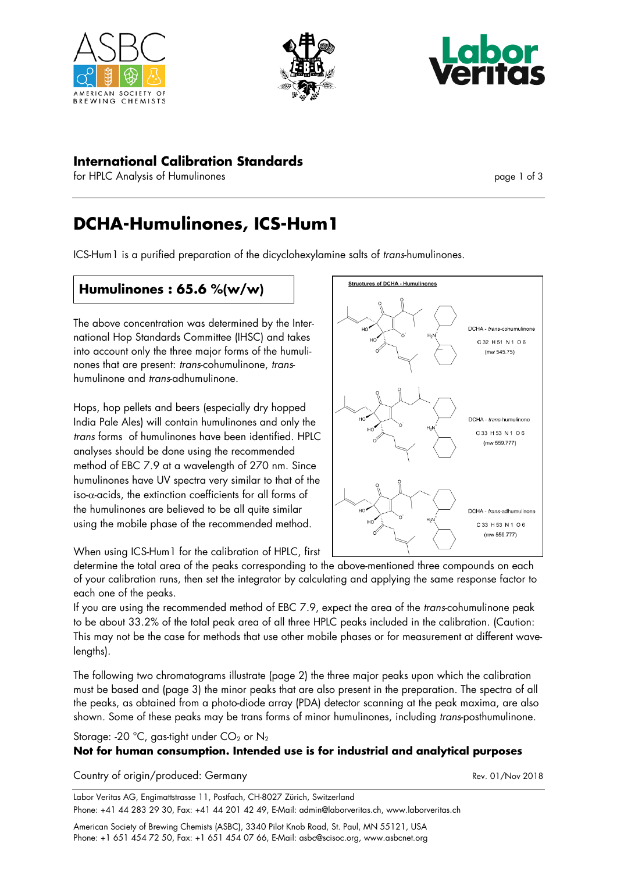





## **International Calibration Standards**

for HPLC Analysis of Humulinones page 1 of 3

# **DCHA-Humulinones, ICS-Hum1**

ICS-Hum1 is a purified preparation of the dicyclohexylamine salts of *trans*-humulinones.

# **Humulinones : 65.6 %(w/w)**

The above concentration was determined by the International Hop Standards Committee (IHSC) and takes into account only the three major forms of the humulinones that are present: *trans*-cohumulinone, *trans*humulinone and *trans*-adhumulinone.

Hops, hop pellets and beers (especially dry hopped India Pale Ales) will contain humulinones and only the *trans* forms of humulinones have been identified. HPLC analyses should be done using the recommended method of EBC 7.9 at a wavelength of 270 nm. Since humulinones have UV spectra very similar to that of the iso- $\alpha$ -acids, the extinction coefficients for all forms of the humulinones are believed to be all quite similar using the mobile phase of the recommended method.



When using ICS-Hum1 for the calibration of HPLC, first

determine the total area of the peaks corresponding to the above-mentioned three compounds on each of your calibration runs, then set the integrator by calculating and applying the same response factor to each one of the peaks.

If you are using the recommended method of EBC 7.9, expect the area of the *trans*-cohumulinone peak to be about 33.2% of the total peak area of all three HPLC peaks included in the calibration. (Caution: This may not be the case for methods that use other mobile phases or for measurement at different wavelengths).

The following two chromatograms illustrate (page 2) the three major peaks upon which the calibration must be based and (page 3) the minor peaks that are also present in the preparation. The spectra of all the peaks, as obtained from a photo-diode array (PDA) detector scanning at the peak maxima, are also shown. Some of these peaks may be trans forms of minor humulinones, including *trans*-posthumulinone.

Storage: -20 °C, gas-tight under  $CO<sub>2</sub>$  or  $N<sub>2</sub>$ 

#### **Not for human consumption. Intended use is for industrial and analytical purposes**

Country of origin/produced: Germany example of the state of the Rev. 01/Nov 2018

Labor Veritas AG, Engimattstrasse 11, Postfach, CH-8027 Zürich, Switzerland Phone: +41 44 283 29 30, Fax: +41 44 201 42 49, E-Mail: admin@laborveritas.ch, www.laborveritas.ch

American Society of Brewing Chemists (ASBC), 3340 Pilot Knob Road, St. Paul, MN 55121, USA Phone: +1 651 454 72 50, Fax: +1 651 454 07 66, E-Mail: asbc@scisoc.org, www.asbcnet.org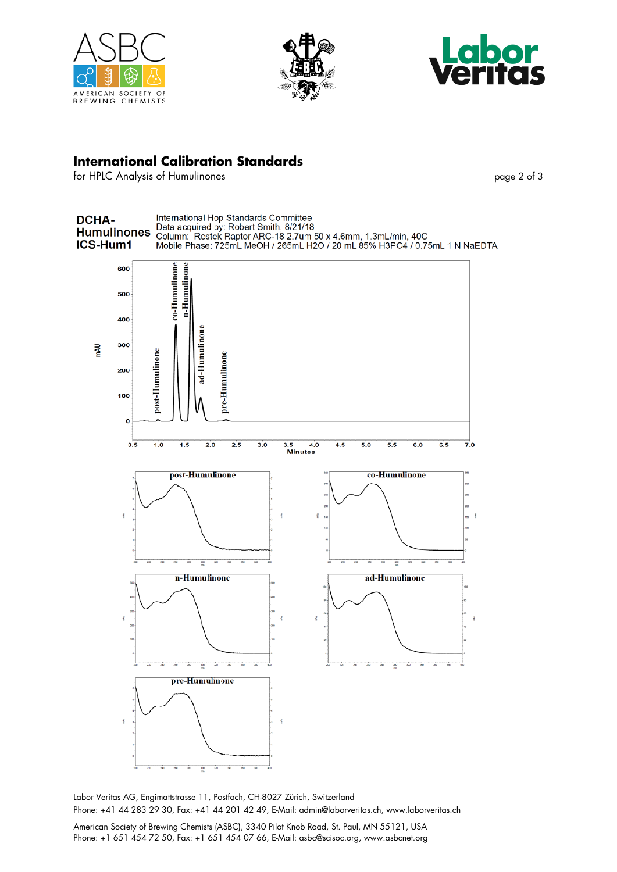





## **International Calibration Standards**

for HPLC Analysis of Humulinones page 2 of 3



Labor Veritas AG, Engimattstrasse 11, Postfach, CH-8027 Zürich, Switzerland Phone: +41 44 283 29 30, Fax: +41 44 201 42 49, E-Mail: admin@laborveritas.ch, www.laborveritas.ch

American Society of Brewing Chemists (ASBC), 3340 Pilot Knob Road, St. Paul, MN 55121, USA Phone: +1 651 454 72 50, Fax: +1 651 454 07 66, E-Mail: asbc@scisoc.org, www.asbcnet.org